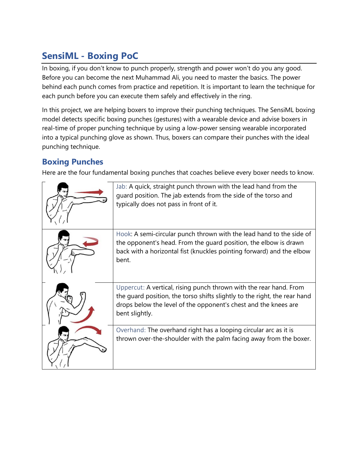# **SensiML - Boxing PoC**

In boxing, if you don't know to punch properly, strength and power won't do you any good. Before you can become the next Muhammad Ali, you need to master the basics. The power behind each punch comes from practice and repetition. It is important to learn the technique for each punch before you can execute them safely and effectively in the ring.

In this project, we are helping boxers to improve their punching techniques. The SensiML boxing model detects specific boxing punches (gestures) with a wearable device and advise boxers in real-time of proper punching technique by using a low-power sensing wearable incorporated into a typical punching glove as shown. Thus, boxers can compare their punches with the ideal punching technique.

### **Boxing Punches**

Here are the four fundamental boxing punches that coaches believe every boxer needs to know.

| Jab: A quick, straight punch thrown with the lead hand from the<br>guard position. The jab extends from the side of the torso and<br>typically does not pass in front of it.                                                         |
|--------------------------------------------------------------------------------------------------------------------------------------------------------------------------------------------------------------------------------------|
| Hook: A semi-circular punch thrown with the lead hand to the side of<br>the opponent's head. From the quard position, the elbow is drawn<br>back with a horizontal fist (knuckles pointing forward) and the elbow<br>bent.           |
| Uppercut: A vertical, rising punch thrown with the rear hand. From<br>the quard position, the torso shifts slightly to the right, the rear hand<br>drops below the level of the opponent's chest and the knees are<br>bent slightly. |
| Overhand: The overhand right has a looping circular arc as it is<br>thrown over-the-shoulder with the palm facing away from the boxer.                                                                                               |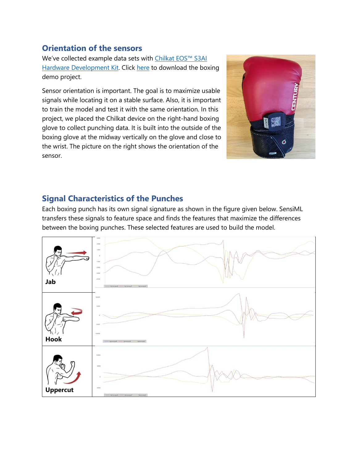#### **Orientation of the sensors**

We've collected example data sets with [Chilkat EOS™ S3AI](Chilkat%20EOS™%20S3AI%20Hardware%20Development%20Kit)  [Hardware Development Kit.](Chilkat%20EOS™%20S3AI%20Hardware%20Development%20Kit) Click [here](https://ddsensimlstage.wpengine.com/downloads/heavy-bag-punching/) to download the boxing demo project.

Sensor orientation is important. The goal is to maximize usable signals while locating it on a stable surface. Also, it is important to train the model and test it with the same orientation. In this project, we placed the Chilkat device on the right-hand boxing glove to collect punching data. It is built into the outside of the boxing glove at the midway vertically on the glove and close to the wrist. The picture on the right shows the orientation of the sensor.



## **Signal Characteristics of the Punches**

Each boxing punch has its own signal signature as shown in the figure given below. SensiML transfers these signals to feature space and finds the features that maximize the differences between the boxing punches. These selected features are used to build the model.

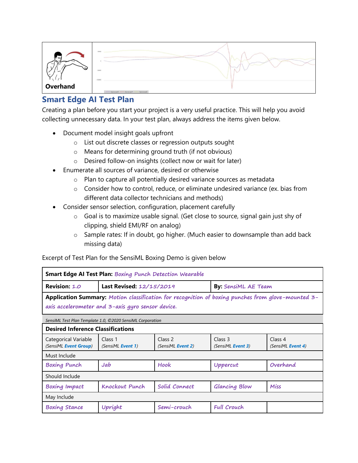

# **Smart Edge AI Test Plan**

Creating a plan before you start your project is a very useful practice. This will help you avoid collecting unnecessary data. In your test plan, always address the items given below.

- Document model insight goals upfront
	- o List out discrete classes or regression outputs sought
	- o Means for determining ground truth (if not obvious)
	- o Desired follow-on insights (collect now or wait for later)
- Enumerate all sources of variance, desired or otherwise
	- o Plan to capture all potentially desired variance sources as metadata
	- o Consider how to control, reduce, or eliminate undesired variance (ex. bias from different data collector technicians and methods)
- Consider sensor selection, configuration, placement carefully
	- o Goal is to maximize usable signal. (Get close to source, signal gain just shy of clipping, shield EMI/RF on analog)
	- o Sample rates: If in doubt, go higher. (Much easier to downsample than add back missing data)

Excerpt of Test Plan for the SensiML Boxing Demo is given below

| Smart Edge AI Test Plan: Boxing Punch Detection Wearable                                                                                                |                                      |                                     |                                      |                              |  |  |  |  |
|---------------------------------------------------------------------------------------------------------------------------------------------------------|--------------------------------------|-------------------------------------|--------------------------------------|------------------------------|--|--|--|--|
| Revision: 1.0                                                                                                                                           | Last Revised: 12/15/2019             |                                     | <b>By: SensiML AE Team</b>           |                              |  |  |  |  |
| Application Summary: Motion classification for recognition of boxing punches from glove-mounted 3-<br>axis accelerometer and 3-axis gyro sensor device. |                                      |                                     |                                      |                              |  |  |  |  |
| SensiML Test Plan Template 1.0, ©2020 SensiML Corporation                                                                                               |                                      |                                     |                                      |                              |  |  |  |  |
| <b>Desired Inference Classifications</b>                                                                                                                |                                      |                                     |                                      |                              |  |  |  |  |
| <b>Categorical Variable</b><br>(SensiML Event Group)                                                                                                    | Class 1<br>(SensiML <b>Event 1</b> ) | Class 2<br>(SensiML <b>Event 2)</b> | Class 3<br>(SensiML <b>Event 3</b> ) | Class 4<br>(SensiML Event 4) |  |  |  |  |
| Must Include                                                                                                                                            |                                      |                                     |                                      |                              |  |  |  |  |
| <b>Boxing Punch</b>                                                                                                                                     | Jab                                  | Hook                                | Uppercut                             | Overhand                     |  |  |  |  |
| Should Include                                                                                                                                          |                                      |                                     |                                      |                              |  |  |  |  |
| <b>Boxing Impact</b>                                                                                                                                    | <b>Knockout Punch</b>                | Solid Connect                       | Glancing Blow                        | Miss                         |  |  |  |  |
| May Include                                                                                                                                             |                                      |                                     |                                      |                              |  |  |  |  |
| <b>Boxing Stance</b>                                                                                                                                    | Upright                              | Semi-crouch                         | <b>Full Crouch</b>                   |                              |  |  |  |  |